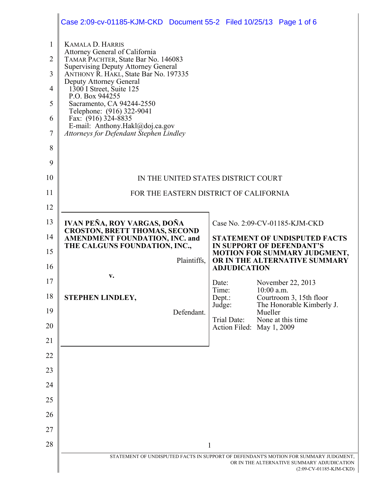|                                               | Case 2:09-cv-01185-KJM-CKD Document 55-2 Filed 10/25/13 Page 1 of 6                                                                                                                                                                                                                                                         |                           |              |                                                                   |
|-----------------------------------------------|-----------------------------------------------------------------------------------------------------------------------------------------------------------------------------------------------------------------------------------------------------------------------------------------------------------------------------|---------------------------|--------------|-------------------------------------------------------------------|
| $\mathbf{1}$<br>$\overline{2}$<br>3<br>4<br>5 | <b>KAMALA D. HARRIS</b><br>Attorney General of California<br>TAMAR PACHTER, State Bar No. 146083<br><b>Supervising Deputy Attorney General</b><br>ANTHONY R. HAKL, State Bar No. 197335<br>Deputy Attorney General<br>1300 I Street, Suite 125<br>P.O. Box 944255<br>Sacramento, CA 94244-2550<br>Telephone: (916) 322-9041 |                           |              |                                                                   |
| 6<br>$\tau$                                   | Fax: (916) 324-8835<br>E-mail: Anthony.Hakl@doj.ca.gov<br>Attorneys for Defendant Stephen Lindley                                                                                                                                                                                                                           |                           |              |                                                                   |
| 8                                             |                                                                                                                                                                                                                                                                                                                             |                           |              |                                                                   |
| 9                                             |                                                                                                                                                                                                                                                                                                                             |                           |              |                                                                   |
| 10                                            | IN THE UNITED STATES DISTRICT COURT                                                                                                                                                                                                                                                                                         |                           |              |                                                                   |
| 11                                            | FOR THE EASTERN DISTRICT OF CALIFORNIA                                                                                                                                                                                                                                                                                      |                           |              |                                                                   |
| 12                                            |                                                                                                                                                                                                                                                                                                                             |                           |              |                                                                   |
| 13                                            | IVAN PEÑA, ROY VARGAS, DOÑA                                                                                                                                                                                                                                                                                                 |                           |              | Case No. 2:09-CV-01185-KJM-CKD                                    |
| 14                                            | <b>CROSTON, BRETT THOMAS, SECOND</b><br>AMENDMENT FOUNDATION, INC. and<br>THE CALGUNS FOUNDATION, INC.,                                                                                                                                                                                                                     |                           |              | <b>STATEMENT OF UNDISPUTED FACTS</b><br>IN SUPPORT OF DEFENDANT'S |
| 15                                            | Plaintiffs,                                                                                                                                                                                                                                                                                                                 |                           |              | MOTION FOR SUMMARY JUDGMENT,<br>OR IN THE ALTERNATIVE SUMMARY     |
| 16                                            | v.                                                                                                                                                                                                                                                                                                                          | <b>ADJUDICATION</b>       |              |                                                                   |
| 17                                            |                                                                                                                                                                                                                                                                                                                             | Date:<br>Time:            | $10:00$ a.m. | November 22, 2013                                                 |
| 18                                            | STEPHEN LINDLEY,                                                                                                                                                                                                                                                                                                            | Dept.:<br>Judge:          |              | Courtroom 3, 15th floor<br>The Honorable Kimberly J.              |
| 19                                            | Defendant.                                                                                                                                                                                                                                                                                                                  | Trial Date:               | Mueller      | None at this time                                                 |
| 20                                            |                                                                                                                                                                                                                                                                                                                             | Action Filed: May 1, 2009 |              |                                                                   |
| 21                                            |                                                                                                                                                                                                                                                                                                                             |                           |              |                                                                   |
| 22                                            |                                                                                                                                                                                                                                                                                                                             |                           |              |                                                                   |
| 23                                            |                                                                                                                                                                                                                                                                                                                             |                           |              |                                                                   |
| 24                                            |                                                                                                                                                                                                                                                                                                                             |                           |              |                                                                   |
|                                               |                                                                                                                                                                                                                                                                                                                             |                           |              |                                                                   |
| 25                                            |                                                                                                                                                                                                                                                                                                                             |                           |              |                                                                   |
| 26                                            |                                                                                                                                                                                                                                                                                                                             |                           |              |                                                                   |
| 27                                            |                                                                                                                                                                                                                                                                                                                             |                           |              |                                                                   |
| 28                                            | STATEMENT OF UNDISPUTED FACTS IN SUPPORT OF DEFENDANT'S MOTION FOR SUMMARY JUDGMENT,                                                                                                                                                                                                                                        | 1                         |              | OR IN THE ALTERNATIVE SUMMARY ADJUDICATION                        |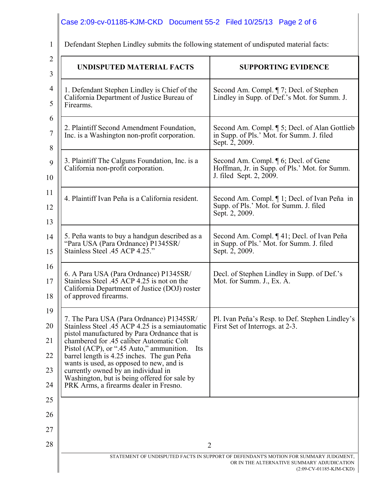| Defendant Stephen Lindley submits the following statement of undisputed material facts: |                                                                                                                                                                                                                                                                                                                                                                                                                                                                       |                                                                                                                  |  |  |
|-----------------------------------------------------------------------------------------|-----------------------------------------------------------------------------------------------------------------------------------------------------------------------------------------------------------------------------------------------------------------------------------------------------------------------------------------------------------------------------------------------------------------------------------------------------------------------|------------------------------------------------------------------------------------------------------------------|--|--|
|                                                                                         | <b>UNDISPUTED MATERIAL FACTS</b>                                                                                                                                                                                                                                                                                                                                                                                                                                      | <b>SUPPORTING EVIDENCE</b>                                                                                       |  |  |
|                                                                                         | 1. Defendant Stephen Lindley is Chief of the<br>California Department of Justice Bureau of<br>Firearms.                                                                                                                                                                                                                                                                                                                                                               | Second Am. Compl. ¶ 7; Decl. of Stephen<br>Lindley in Supp. of Def.'s Mot. for Summ. J.                          |  |  |
|                                                                                         | 2. Plaintiff Second Amendment Foundation,<br>Inc. is a Washington non-profit corporation.                                                                                                                                                                                                                                                                                                                                                                             | Second Am. Compl. ¶ 5; Decl. of Alan Gottlieb<br>in Supp. of Pls.' Mot. for Summ. J. filed<br>Sept. 2, 2009.     |  |  |
|                                                                                         | 3. Plaintiff The Calguns Foundation, Inc. is a<br>California non-profit corporation.                                                                                                                                                                                                                                                                                                                                                                                  | Second Am. Compl. ¶ 6; Decl. of Gene<br>Hoffman, Jr. in Supp. of Pls.' Mot. for Summ.<br>J. filed Sept. 2, 2009. |  |  |
|                                                                                         | 4. Plaintiff Ivan Peña is a California resident.                                                                                                                                                                                                                                                                                                                                                                                                                      | Second Am. Compl. ¶ 1; Decl. of Ivan Peña in<br>Supp. of Pls.' Mot. for Summ. J. filed<br>Sept. 2, 2009.         |  |  |
|                                                                                         | 5. Peña wants to buy a handgun described as a<br>"Para USA (Para Ordnance) P1345SR/<br>Stainless Steel .45 ACP 4.25."                                                                                                                                                                                                                                                                                                                                                 | Second Am. Compl. ¶ 41; Decl. of Ivan Peña<br>in Supp. of Pls.' Mot. for Summ. J. filed<br>Sept. 2, 2009.        |  |  |
|                                                                                         | 6. A Para USA (Para Ordnance) P1345SR/<br>Stainless Steel .45 ACP 4.25 is not on the<br>California Department of Justice (DOJ) roster<br>of approved firearms.                                                                                                                                                                                                                                                                                                        | Decl. of Stephen Lindley in Supp. of Def.'s<br>Mot. for Summ. J., Ex. A.                                         |  |  |
|                                                                                         | 7. The Para USA (Para Ordnance) P1345SR/<br>Stainless Steel .45 ACP 4.25 is a semiautomatic<br>pistol manufactured by Para Ordnance that is<br>chambered for .45 caliber Automatic Colt<br>Pistol (ACP), or ".45 Auto," ammunition.<br>Its<br>barrel length is 4.25 inches. The gun Peña<br>wants is used, as opposed to new, and is<br>currently owned by an individual in<br>Washington, but is being offered for sale by<br>PRK Arms, a firearms dealer in Fresno. | Pl. Ivan Peña's Resp. to Def. Stephen Lindley's<br>First Set of Interrogs. at 2-3.                               |  |  |
|                                                                                         |                                                                                                                                                                                                                                                                                                                                                                                                                                                                       |                                                                                                                  |  |  |
|                                                                                         | 2                                                                                                                                                                                                                                                                                                                                                                                                                                                                     |                                                                                                                  |  |  |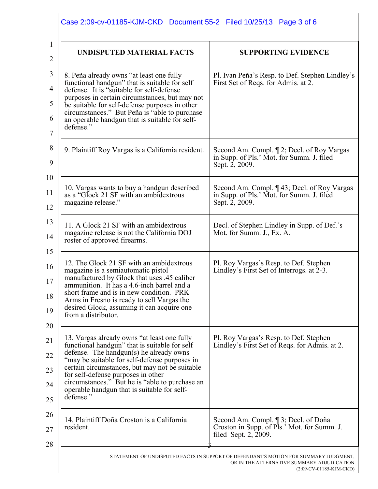| <b>UNDISPUTED MATERIAL FACTS</b>                                                                                                                                                                                                                                                                                                                                                               | <b>SUPPORTING EVIDENCE</b>                                                                                  |  |  |
|------------------------------------------------------------------------------------------------------------------------------------------------------------------------------------------------------------------------------------------------------------------------------------------------------------------------------------------------------------------------------------------------|-------------------------------------------------------------------------------------------------------------|--|--|
| 8. Peña already owns "at least one fully<br>functional handgun" that is suitable for self<br>defense. It is "suitable for self-defense<br>purposes in certain circumstances, but may not<br>be suitable for self-defense purposes in other<br>circumstances." But Peña is "able to purchase<br>an operable handgun that is suitable for self-<br>defense."                                     | Pl. Ivan Peña's Resp. to Def. Stephen Lindley's<br>First Set of Reqs. for Admis. at 2.                      |  |  |
| 9. Plaintiff Roy Vargas is a California resident.                                                                                                                                                                                                                                                                                                                                              | Second Am. Compl. ¶ 2; Decl. of Roy Vargas<br>in Supp. of Pls.' Mot. for Summ. J. filed<br>Sept. 2, 2009.   |  |  |
| 10. Vargas wants to buy a handgun described<br>as a "Glock 21 SF with an ambidextrous<br>magazine release."                                                                                                                                                                                                                                                                                    | Second Am. Compl. ¶ 43; Decl. of Roy Vargas<br>in Supp. of Pls.' Mot. for Summ. J. filed<br>Sept. 2, 2009.  |  |  |
| 11. A Glock 21 SF with an ambidextrous<br>magazine release is not the California DOJ<br>roster of approved firearms.                                                                                                                                                                                                                                                                           | Decl. of Stephen Lindley in Supp. of Def.'s<br>Mot. for Summ. J., Ex. A.                                    |  |  |
| 12. The Glock 21 SF with an ambidextrous<br>magazine is a semiautomatic pistol<br>manufactured by Glock that uses .45 caliber<br>ammunition. It has a 4.6-inch barrel and a<br>short frame and is in new condition. PRK<br>Arms in Fresno is ready to sell Vargas the<br>desired Glock, assuming it can acquire one<br>from a distributor.                                                     | Pl. Roy Vargas's Resp. to Def. Stephen<br>Lindley's First Set of Interrogs. at 2-3.                         |  |  |
| 13. Vargas already owns "at least one fully<br>functional handgun" that is suitable for self<br>defense. The handgun(s) he already owns<br>"may be suitable for self-defense purposes in<br>certain circumstances, but may not be suitable<br>for self-defense purposes in other<br>circumstances." But he is "able to purchase an<br>operable handgun that is suitable for self-<br>defense." | Pl. Roy Vargas's Resp. to Def. Stephen<br>Lindley's First Set of Reqs. for Admis. at 2.                     |  |  |
| 14. Plaintiff Doña Croston is a California<br>resident.                                                                                                                                                                                                                                                                                                                                        | Second Am. Compl. ¶ 3; Decl. of Doña<br>Croston in Supp. of Pls.' Mot. for Summ. J.<br>filed Sept. 2, 2009. |  |  |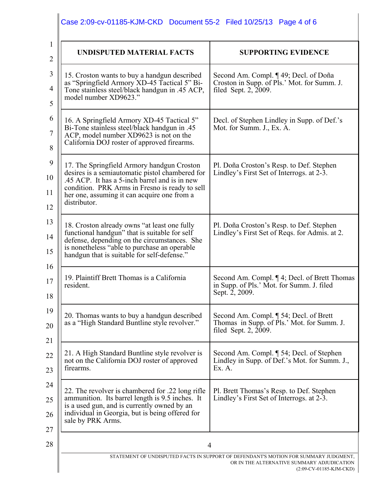| <b>SUPPORTING EVIDENCE</b><br>Second Am. Compl. ¶ 49; Decl. of Doña<br>Croston in Supp. of Pls.' Mot. for Summ. J.<br>filed Sept. 2, 2009. |  |
|--------------------------------------------------------------------------------------------------------------------------------------------|--|
|                                                                                                                                            |  |
| Pl. Doña Croston's Resp. to Def. Stephen<br>Lindley's First Set of Interrogs. at 2-3.                                                      |  |
| Pl. Doña Croston's Resp. to Def. Stephen<br>Lindley's First Set of Reqs. for Admis. at 2.                                                  |  |
| Second Am. Compl. ¶ 4; Decl. of Brett Thomas<br>in Supp. of Pls.' Mot. for Summ. J. filed<br>Sept. 2, 2009.                                |  |
| Second Am. Compl. ¶ 54; Decl. of Brett<br>Thomas in Supp. of Pls.' Mot. for Summ. J.<br>filed Sept. 2, 2009.                               |  |
| Second Am. Compl. ¶ 54; Decl. of Stephen<br>Lindley in Supp. of Def.'s Mot. for Summ. J.,<br>Ex. A.                                        |  |
| Pl. Brett Thomas's Resp. to Def. Stephen<br>Lindley's First Set of Interrogs. at 2-3.                                                      |  |
|                                                                                                                                            |  |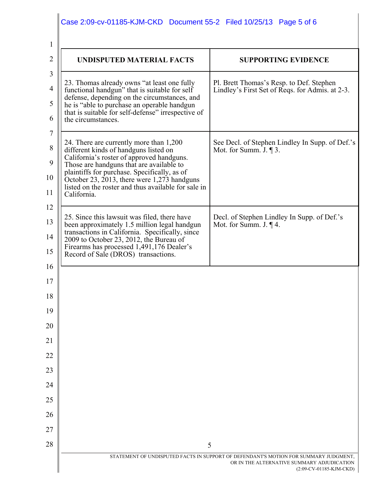| <b>UNDISPUTED MATERIAL FACTS</b>                                                                                                                                                                                                                                                                                                               | <b>SUPPORTING EVIDENCE</b>                                                                  |
|------------------------------------------------------------------------------------------------------------------------------------------------------------------------------------------------------------------------------------------------------------------------------------------------------------------------------------------------|---------------------------------------------------------------------------------------------|
| 23. Thomas already owns "at least one fully<br>functional handgun" that is suitable for self<br>defense, depending on the circumstances, and<br>he is "able to purchase an operable handgun<br>that is suitable for self-defense" irrespective of<br>the circumstances.                                                                        | Pl. Brett Thomas's Resp. to Def. Stephen<br>Lindley's First Set of Reqs. for Admis. at 2-3. |
| 24. There are currently more than 1,200<br>different kinds of handguns listed on<br>California's roster of approved handguns.<br>Those are handguns that are available to<br>plaintiffs for purchase. Specifically, as of<br>October 23, 2013, there were 1,273 handguns<br>listed on the roster and thus available for sale in<br>California. | See Decl. of Stephen Lindley In Supp. of Def.'s<br>Mot. for Summ. J. $\P$ 3.                |
| 25. Since this lawsuit was filed, there have<br>been approximately 1.5 million legal handgun<br>transactions in California. Specifically, since<br>2009 to October 23, 2012, the Bureau of<br>Firearms has processed 1,491,176 Dealer's<br>Record of Sale (DROS) transactions.                                                                 | Decl. of Stephen Lindley In Supp. of Def.'s<br>Mot. for Summ. J. $\P$ 4.                    |
|                                                                                                                                                                                                                                                                                                                                                |                                                                                             |
|                                                                                                                                                                                                                                                                                                                                                |                                                                                             |
|                                                                                                                                                                                                                                                                                                                                                |                                                                                             |
|                                                                                                                                                                                                                                                                                                                                                |                                                                                             |
|                                                                                                                                                                                                                                                                                                                                                |                                                                                             |
|                                                                                                                                                                                                                                                                                                                                                |                                                                                             |
|                                                                                                                                                                                                                                                                                                                                                |                                                                                             |
|                                                                                                                                                                                                                                                                                                                                                |                                                                                             |
|                                                                                                                                                                                                                                                                                                                                                |                                                                                             |
|                                                                                                                                                                                                                                                                                                                                                |                                                                                             |
|                                                                                                                                                                                                                                                                                                                                                |                                                                                             |